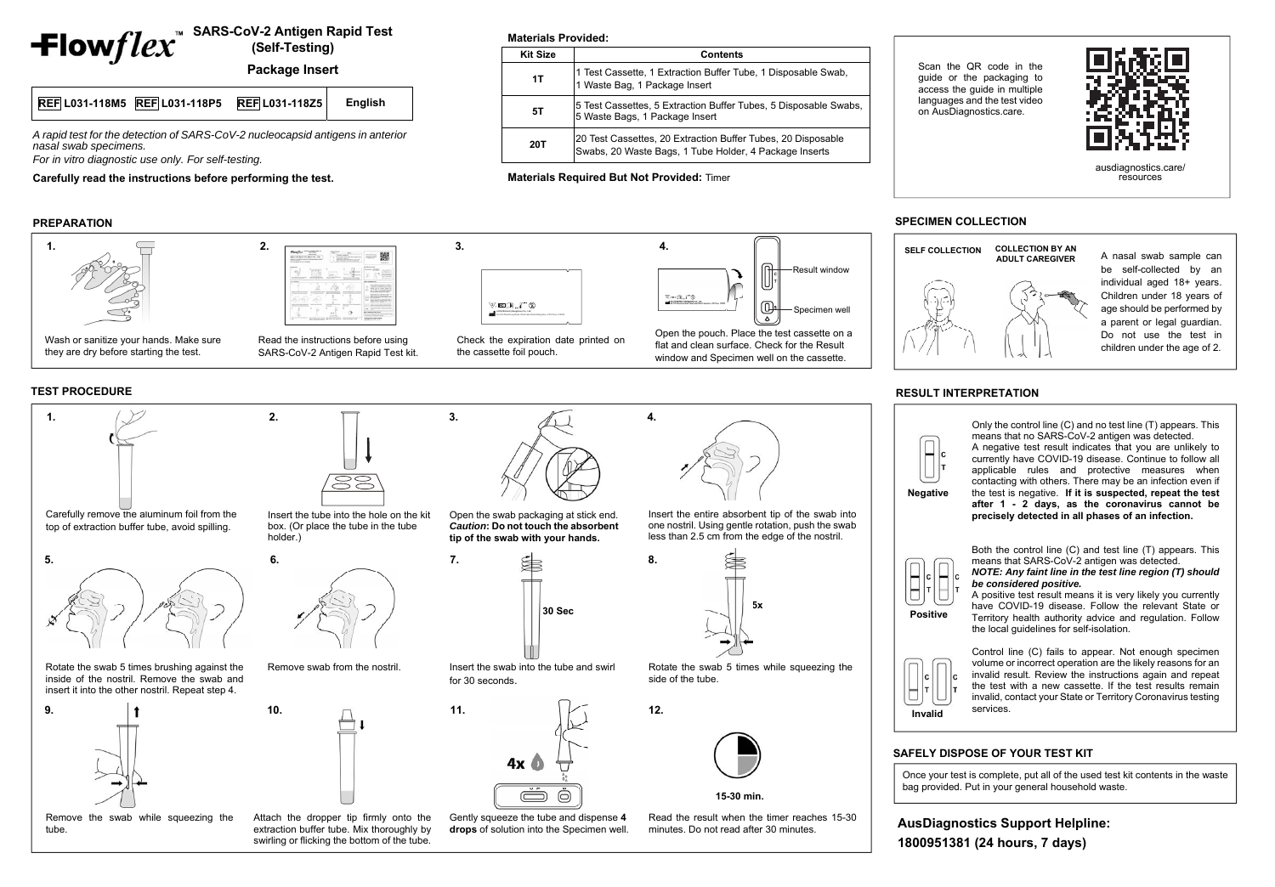## **SARS-CoV-2 Antigen Rapid Test (Self-Testing)**

**Package Insert**

## **REF L031-118M5 REF L031-118P5 REF L031-118Z5 English**

*A rapid test for the detection of SARS-CoV-2 nucleocapsid antigens in anterior nasal swab specimens.* 

*For in vitro diagnostic use only. For self-testing.* 

**Carefully read the instructions before performing the test.** 

## **PREPARATION**

## **SPECIMEN COLLECTION**

A nasal swab sample can be self-collected by an individual aged 18+ years. Children under 18 years of age should be performed by a parent or legal guardian. Do not use the test in children under the age of 2.

## **RESULT INTERPRETATION**

Only the control line (C) and no test line (T) appears. This means that no SARS-CoV-2 antigen was detected.

A negative test result indicates that you are unlikely to currently have COVID-19 disease. Continue to follow all applicable rules and protective measures when contacting with others. There may be an infection even if the test is negative. **If it is suspected, repeat the test after 1 - 2 days, as the coronavirus cannot be precisely detected in all phases of an infection.** 

Both the control line (C) and test line (T) appears. This means that SARS-CoV-2 antigen was detected.

*NOTE: Any faint line in the test line region (T) should be considered positive.* 

A positive test result means it is very likely you currently have COVID-19 disease. Follow the relevant State or Territory health authority advice and regulation. Follow the local guidelines for self-isolation.

Control line (C) fails to appear. Not enough specimen volume or incorrect operation are the likely reasons for an invalid result. Review the instructions again and repeat the test with a new cassette. If the test results remain invalid, contact your State or Territory Coronavirus testing services.

## **TEST PROCEDURE**

**Positive**

 **Invalid**





## **SAFELY DISPOSE OF YOUR TEST KIT**

Once your test is complete, put all of the used test kit contents in the waste bag provided. Put in your general household waste.



Check the expiration date printed on the cassette foil pouch.



window and Specimen well on the cassette.

Read the instructions before using SARS-CoV-2 Antigen Rapid Test kit.

they are dry before starting the test.



**Materials Provided:** 

**Kit Size Contents** 

|                                          | Result window                                                                                |
|------------------------------------------|----------------------------------------------------------------------------------------------|
| $W \text{ on } \Omega$ , $V \text{ on }$ | Specimen well                                                                                |
|                                          | Open the pouch. Place the test cassette on a<br>flat and clean surface. Check for the Result |

**1T** 1 Test Cassette, 1 Extraction Buffer Tube, 1 Disposable Swab, 1 Waste Bag, 1 Package Insert

**20T** <sup>20</sup> Test Cassettes, 20 Extraction Buffer Tubes, 20 Disposable Swabs, 20 Waste Bags, 1 Tube Holder, 4 Package Inserts

**5T** 5 Test Cassettes, 5 Extraction Buffer Tubes, 5 Disposable Swabs, 5 Usposable Swabs, 5 Waste Bags, 1 Package Insert

**Materials Required But Not Provided:** Timer

Scan the QR code in the guide or the packaging to access the guide in multiple languages and the test video on AusDiagnostics.care.



## **AusDiagnostics Support Helpline: 1800951381 (24 hours, 7 days)**



ausdiagnostics.care/ resources